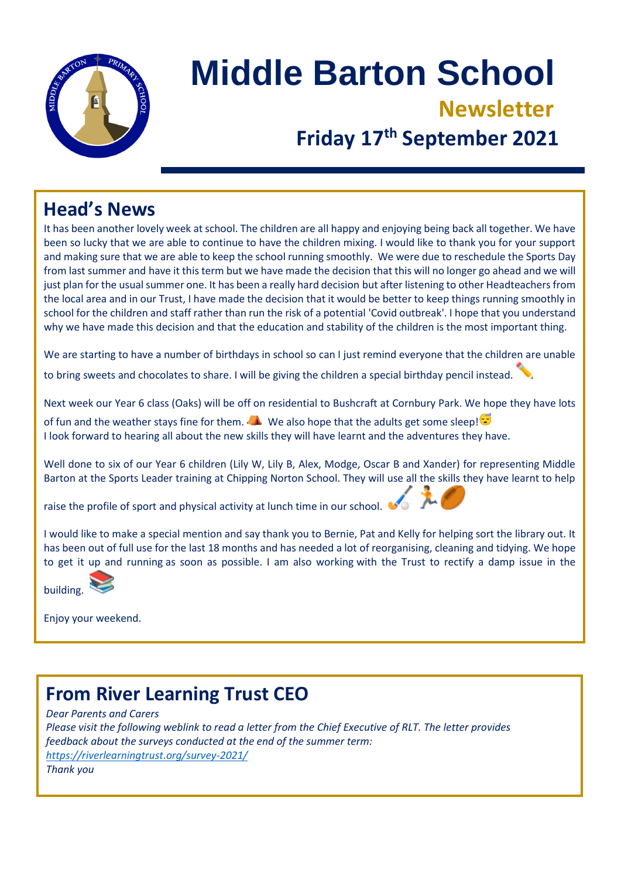

# **Middle Barton School Newsletter Friday 17th September 2021**

# **Head's News**

It has been another lovely week at school. The children are all happy and enjoying being back all together. We have been so lucky that we are able to continue to have the children mixing. I would like to thank you for your support and making sure that we are able to keep the school running smoothly. We were due to reschedule the Sports Day from last summer and have it this term but we have made the decision that this will no longer go ahead and we will just plan for the usual summer one. It has been a really hard decision but after listening to other Headteachers from the local area and in our Trust, I have made the decision that it would be better to keep things running smoothly in school for the children and staff rather than run the risk of a potential 'Covid outbreak'. I hope that you understand why we have made this decision and that the education and stability of the children is the most important thing.

We are starting to have a number of birthdays in school so can I just remind everyone that the children are unable

to bring sweets and chocolates to share. I will be giving the children a special birthday pencil instead.

Next week our Year 6 class (Oaks) will be off on residential to Bushcraft at Cornbury Park. We hope they have lots

of fun and the weather stays fine for them. We also hope that the adults get some sleep! I look forward to hearing all about the new skills they will have learnt and the adventures they have.

Well done to six of our Year 6 children (Lily W, Lily B, Alex, Modge, Oscar B and Xander) for representing Middle Barton at the Sports Leader training at Chipping Norton School. They will use all the skills they have learnt to help

raise the profile of sport and physical activity at lunch time in our school.

I would like to make a special mention and say thank you to Bernie, Pat and Kelly for helping sort the library out. It has been out of full use for the last 18 months and has needed a lot of reorganising, cleaning and tidying. We hope to get it up and running as soon as possible. I am also working with the Trust to rectify a damp issue in the



Enjoy your weekend.

# **From River Learning Trust CEO**

*Dear Parents and Carers Please visit the following weblink to read a letter from the Chief Executive of RLT. The letter provides feedback about the surveys conducted at the end of the summer term: <https://riverlearningtrust.org/survey-2021/> Thank you*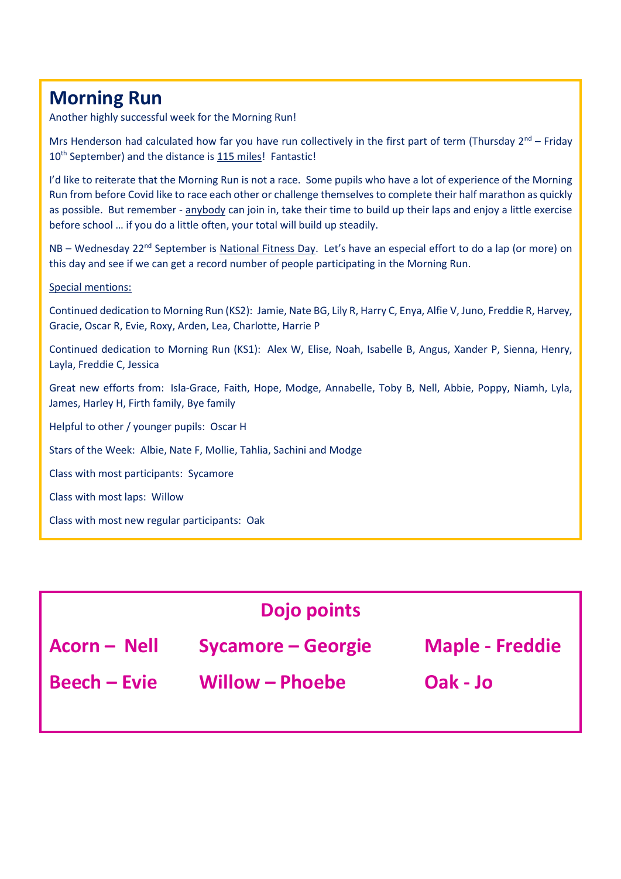# **Morning Run**

Another highly successful week for the Morning Run!

Mrs Henderson had calculated how far you have run collectively in the first part of term (Thursday  $2^{nd}$  – Friday 10<sup>th</sup> September) and the distance is 115 miles! Fantastic!

I'd like to reiterate that the Morning Run is not a race. Some pupils who have a lot of experience of the Morning Run from before Covid like to race each other or challenge themselves to complete their half marathon as quickly as possible. But remember - anybody can join in, take their time to build up their laps and enjoy a little exercise before school … if you do a little often, your total will build up steadily.

NB – Wednesday 22<sup>nd</sup> September is National Fitness Day. Let's have an especial effort to do a lap (or more) on this day and see if we can get a record number of people participating in the Morning Run.

#### Special mentions:

Continued dedication to Morning Run (KS2): Jamie, Nate BG, Lily R, Harry C, Enya, Alfie V, Juno, Freddie R, Harvey, Gracie, Oscar R, Evie, Roxy, Arden, Lea, Charlotte, Harrie P

Continued dedication to Morning Run (KS1): Alex W, Elise, Noah, Isabelle B, Angus, Xander P, Sienna, Henry, Layla, Freddie C, Jessica

Great new efforts from: Isla-Grace, Faith, Hope, Modge, Annabelle, Toby B, Nell, Abbie, Poppy, Niamh, Lyla, James, Harley H, Firth family, Bye family

Helpful to other / younger pupils: Oscar H

Stars of the Week: Albie, Nate F, Mollie, Tahlia, Sachini and Modge

Class with most participants: Sycamore

Class with most laps: Willow

Class with most new regular participants: Oak

| <b>Dojo points</b>  |                    |                        |
|---------------------|--------------------|------------------------|
| <b>Acorn - Nell</b> | Sycamore – Georgie | <b>Maple - Freddie</b> |
| <b>Beech – Evie</b> | Willow – Phoebe    | Oak - Jo               |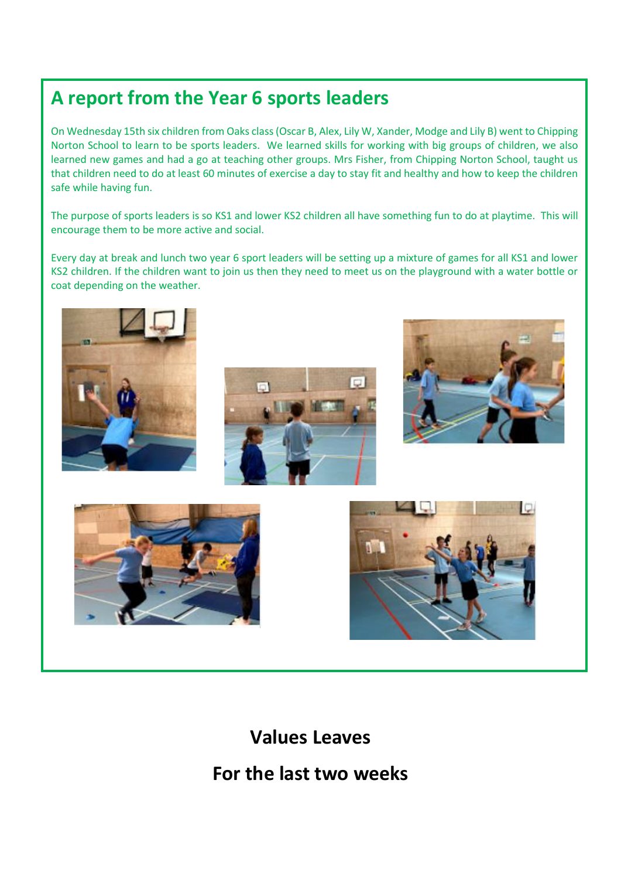# **A report from the Year 6 sports leaders**

On Wednesday 15th six children from Oaks class (Oscar B, Alex, Lily W, Xander, Modge and Lily B) went to Chipping Norton School to learn to be sports leaders. We learned skills for working with big groups of children, we also learned new games and had a go at teaching other groups. Mrs Fisher, from Chipping Norton School, taught us that children need to do at least 60 minutes of exercise a day to stay fit and healthy and how to keep the children safe while having fun.

The purpose of sports leaders is so KS1 and lower KS2 children all have something fun to do at playtime. This will encourage them to be more active and social.

Every day at break and lunch two year 6 sport leaders will be setting up a mixture of games for all KS1 and lower KS2 children. If the children want to join us then they need to meet us on the playground with a water bottle or coat depending on the weather.











### **Values Leaves**

### **For the last two weeks**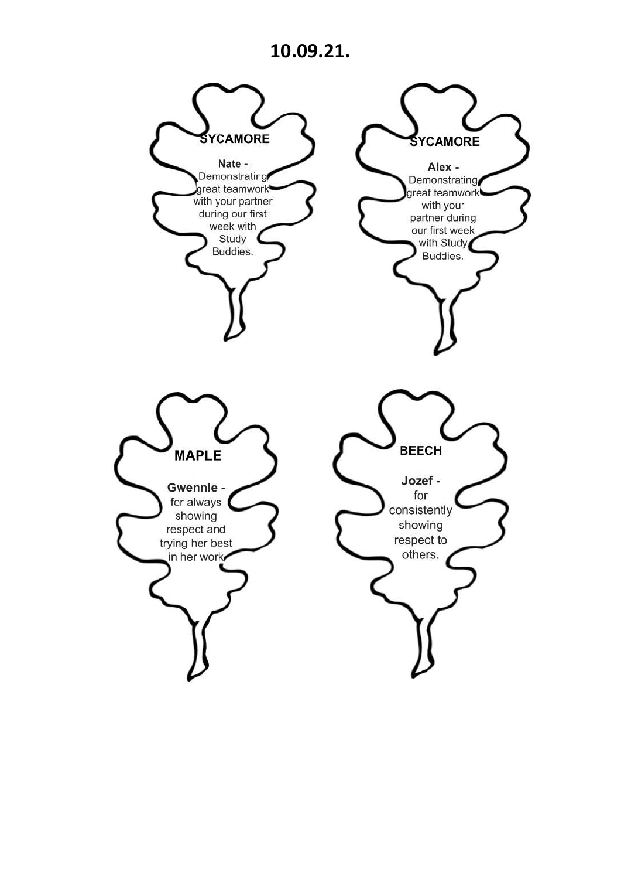# **10.09.21.**

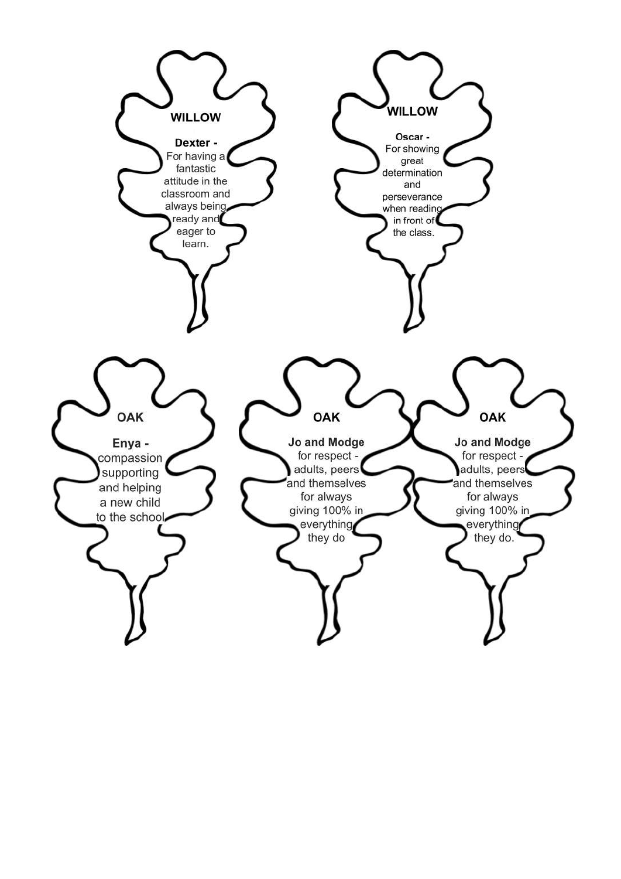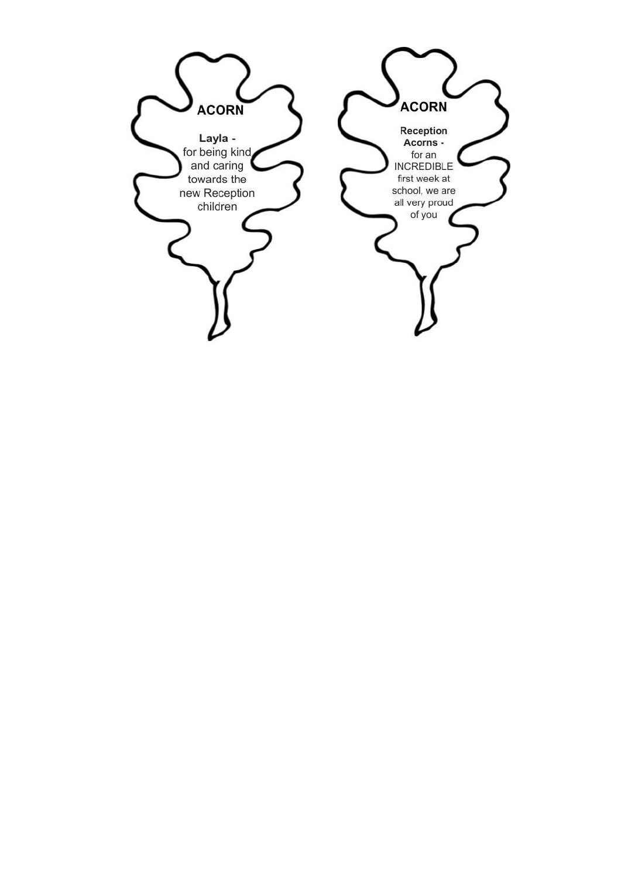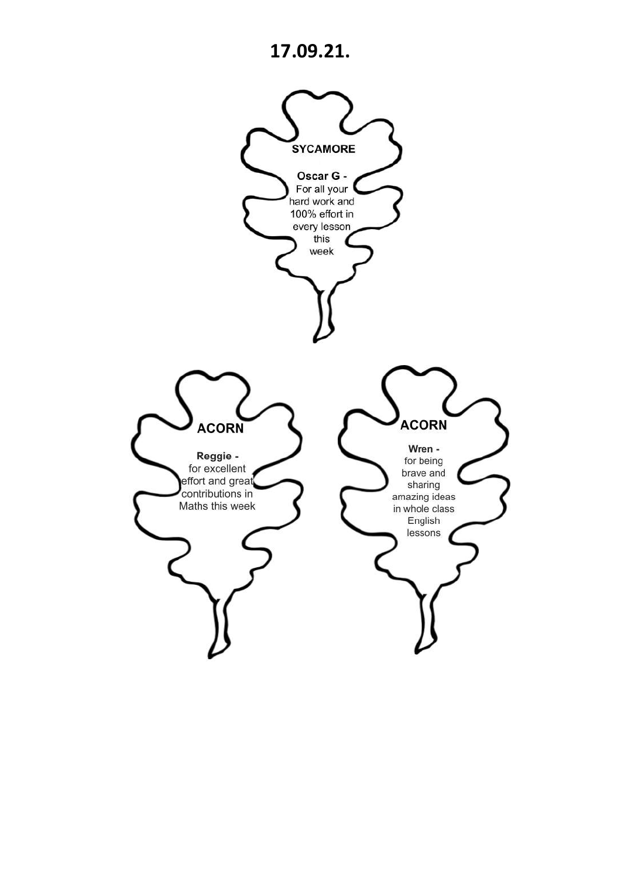# **17.09.21.**

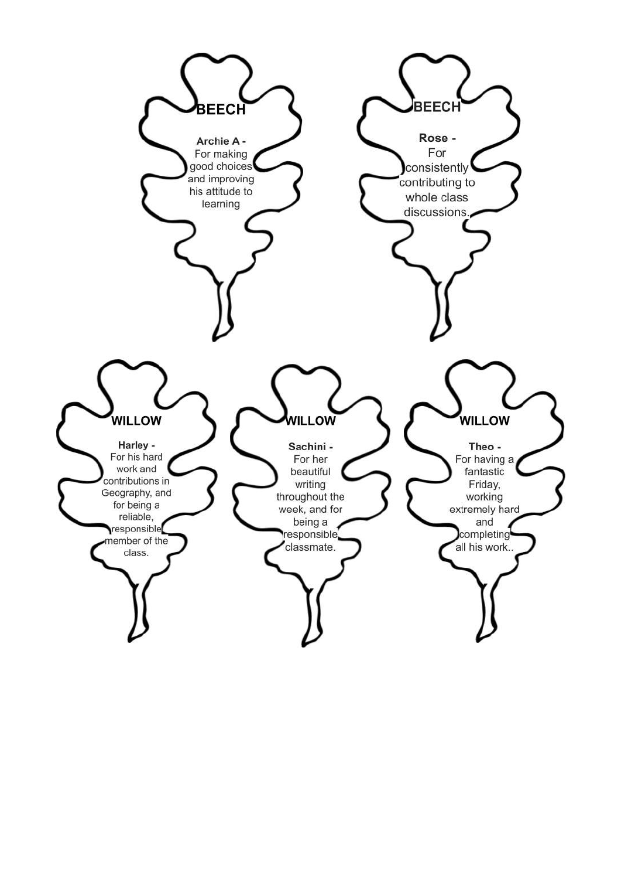